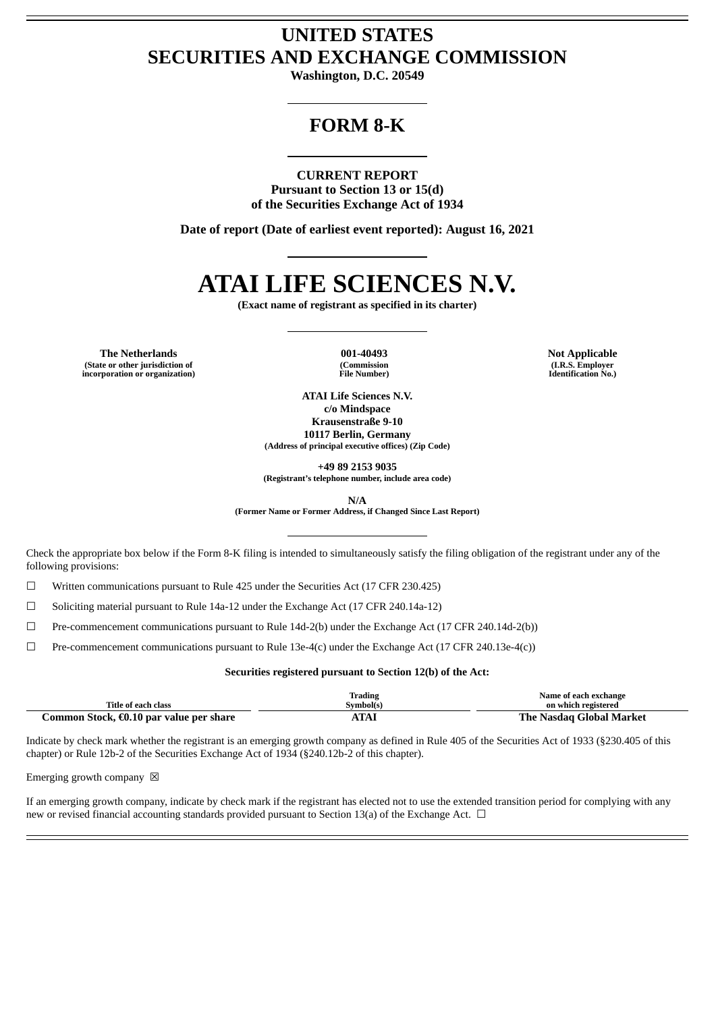# **UNITED STATES SECURITIES AND EXCHANGE COMMISSION**

**Washington, D.C. 20549**

# **FORM 8-K**

# **CURRENT REPORT**

**Pursuant to Section 13 or 15(d) of the Securities Exchange Act of 1934**

**Date of report (Date of earliest event reported): August 16, 2021**

# **ATAI LIFE SCIENCES N.V.**

**(Exact name of registrant as specified in its charter)**

**The Netherlands 001-40493 Not Applicable (State or other jurisdiction of incorporation or organization)**

**(Commission File Number)**

**(I.R.S. Employer Identification No.)**

**ATAI Life Sciences N.V. c/o Mindspace Krausenstraße 9-10 10117 Berlin, Germany**

**(Address of principal executive offices) (Zip Code)**

**+49 89 2153 9035 (Registrant's telephone number, include area code)**

**N/A**

**(Former Name or Former Address, if Changed Since Last Report)**

Check the appropriate box below if the Form 8-K filing is intended to simultaneously satisfy the filing obligation of the registrant under any of the following provisions:

 $\Box$  Written communications pursuant to Rule 425 under the Securities Act (17 CFR 230.425)

 $\Box$  Soliciting material pursuant to Rule 14a-12 under the Exchange Act (17 CFR 240.14a-12)

 $\Box$  Pre-commencement communications pursuant to Rule 14d-2(b) under the Exchange Act (17 CFR 240.14d-2(b))

 $\Box$  Pre-commencement communications pursuant to Rule 13e-4(c) under the Exchange Act (17 CFR 240.13e-4(c))

#### **Securities registered pursuant to Section 12(b) of the Act:**

| Title of each class                     | Trading<br>Svmbol(s) | Name of each exchange<br>on which registered |
|-----------------------------------------|----------------------|----------------------------------------------|
| Common Stock, €0.10 par value per share | ATAI                 | The Nasdag Global Market                     |

Indicate by check mark whether the registrant is an emerging growth company as defined in Rule 405 of the Securities Act of 1933 (§230.405 of this chapter) or Rule 12b-2 of the Securities Exchange Act of 1934 (§240.12b-2 of this chapter).

Emerging growth company  $\boxtimes$ 

If an emerging growth company, indicate by check mark if the registrant has elected not to use the extended transition period for complying with any new or revised financial accounting standards provided pursuant to Section 13(a) of the Exchange Act.  $\Box$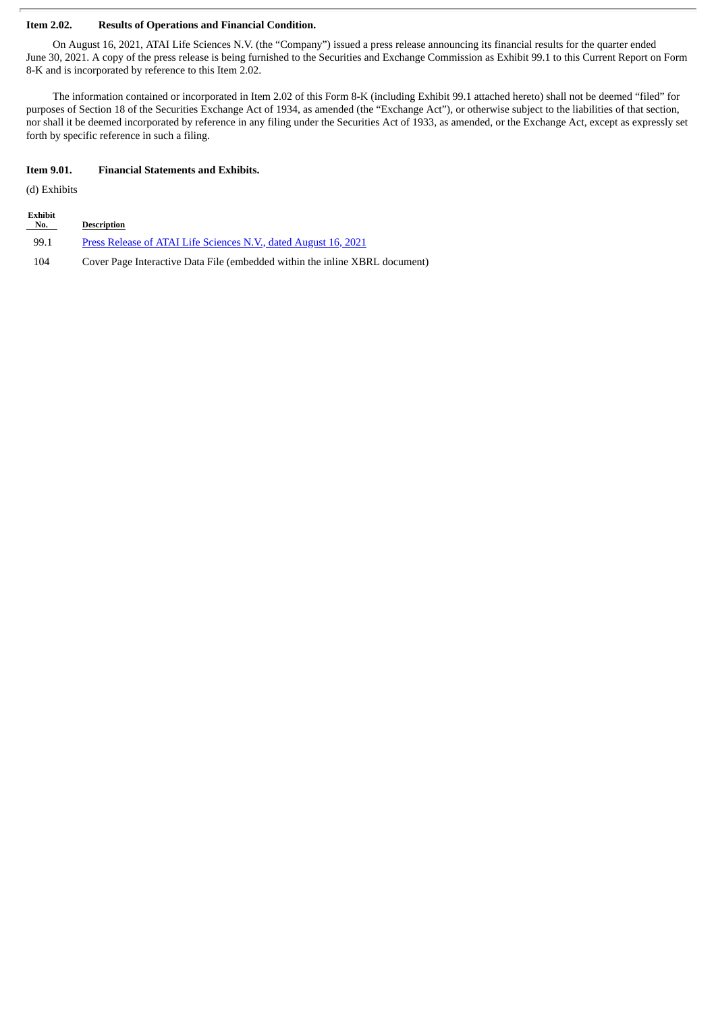# **Item 2.02. Results of Operations and Financial Condition.**

On August 16, 2021, ATAI Life Sciences N.V. (the "Company") issued a press release announcing its financial results for the quarter ended June 30, 2021. A copy of the press release is being furnished to the Securities and Exchange Commission as Exhibit 99.1 to this Current Report on Form 8-K and is incorporated by reference to this Item 2.02.

The information contained or incorporated in Item 2.02 of this Form 8-K (including Exhibit 99.1 attached hereto) shall not be deemed "filed" for purposes of Section 18 of the Securities Exchange Act of 1934, as amended (the "Exchange Act"), or otherwise subject to the liabilities of that section, nor shall it be deemed incorporated by reference in any filing under the Securities Act of 1933, as amended, or the Exchange Act, except as expressly set forth by specific reference in such a filing.

## **Item 9.01. Financial Statements and Exhibits.**

(d) Exhibits

| <b>Exhibit</b><br>$N_{0.}$ | <b>Description</b>                                                          |
|----------------------------|-----------------------------------------------------------------------------|
| 99.1                       | Press Release of ATAI Life Sciences N.V., dated August 16, 2021             |
| 104                        | Cover Page Interactive Data File (embedded within the inline XBRL document) |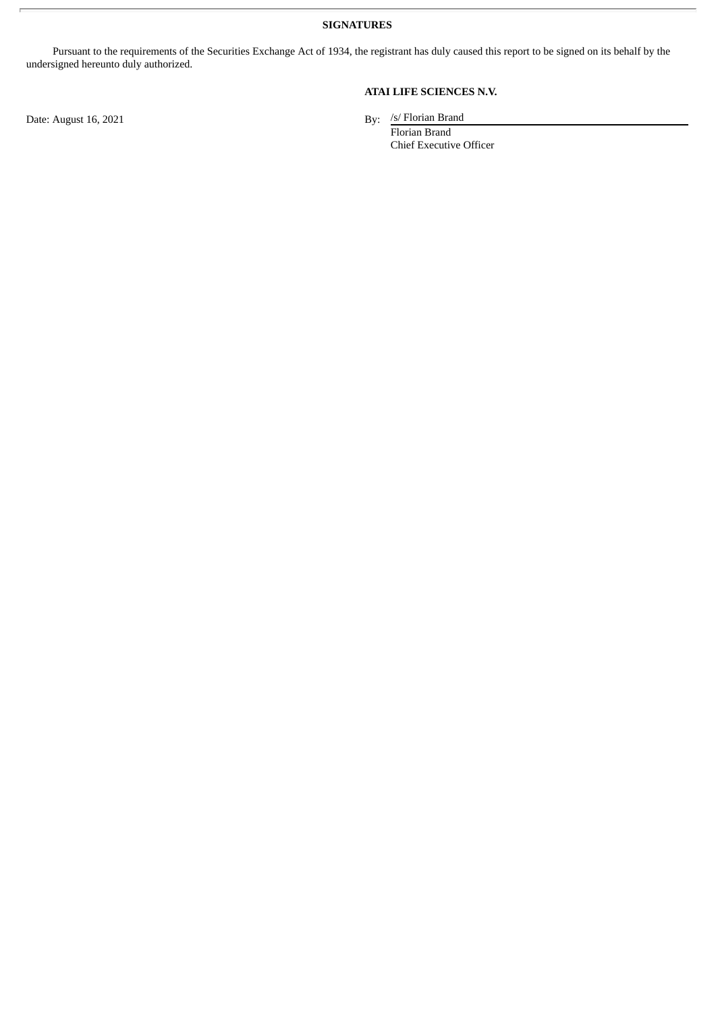**SIGNATURES**

Pursuant to the requirements of the Securities Exchange Act of 1934, the registrant has duly caused this report to be signed on its behalf by the undersigned hereunto duly authorized.

Date: August 16, 2021

# **ATAI LIFE SCIENCES N.V.**

By: /s/ Florian Brand

Florian Brand Chief Executive Officer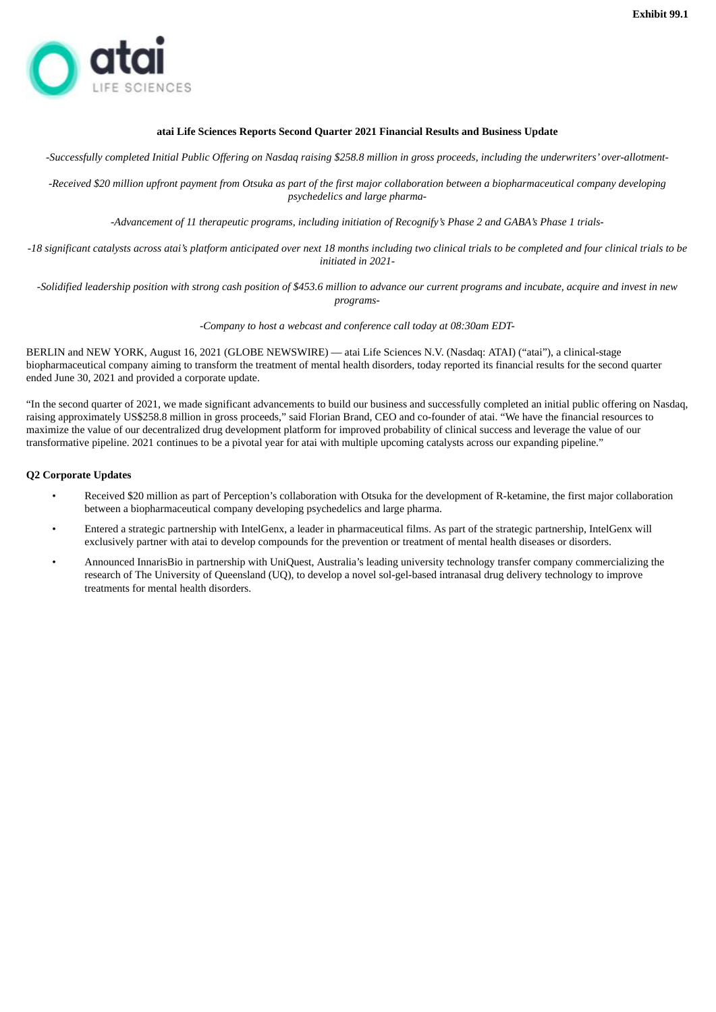<span id="page-3-0"></span>

#### **atai Life Sciences Reports Second Quarter 2021 Financial Results and Business Update**

-Successfully completed Initial Public Offering on Nasdaq raising \$258.8 million in gross proceeds, including the underwriters' over-allotment-

-Received \$20 million upfront payment from Otsuka as part of the first major collaboration between a biopharmaceutical company developing *psychedelics and large pharma-*

*-Advancement of 11 therapeutic programs, including initiation of Recognify's Phase 2 and GABA's Phase 1 trials-*

-18 significant catalysts across atai's platform anticipated over next 18 months including two clinical trials to be completed and four clinical trials to be *initiated in 2021-*

-Solidified leadership position with strong cash position of \$453.6 million to advance our current programs and incubate, acquire and invest in new *programs-*

*-Company to host a webcast and conference call today at 08:30am EDT-*

BERLIN and NEW YORK, August 16, 2021 (GLOBE NEWSWIRE) — atai Life Sciences N.V. (Nasdaq: ATAI) ("atai"), a clinical-stage biopharmaceutical company aiming to transform the treatment of mental health disorders, today reported its financial results for the second quarter ended June 30, 2021 and provided a corporate update.

"In the second quarter of 2021, we made significant advancements to build our business and successfully completed an initial public offering on Nasdaq, raising approximately US\$258.8 million in gross proceeds," said Florian Brand, CEO and co-founder of atai. "We have the financial resources to maximize the value of our decentralized drug development platform for improved probability of clinical success and leverage the value of our transformative pipeline. 2021 continues to be a pivotal year for atai with multiple upcoming catalysts across our expanding pipeline."

# **Q2 Corporate Updates**

- Received \$20 million as part of Perception's collaboration with Otsuka for the development of R-ketamine, the first major collaboration between a biopharmaceutical company developing psychedelics and large pharma.
- Entered a strategic partnership with IntelGenx, a leader in pharmaceutical films. As part of the strategic partnership, IntelGenx will exclusively partner with atai to develop compounds for the prevention or treatment of mental health diseases or disorders.
- Announced InnarisBio in partnership with UniQuest, Australia's leading university technology transfer company commercializing the research of The University of Queensland (UQ), to develop a novel sol-gel-based intranasal drug delivery technology to improve treatments for mental health disorders.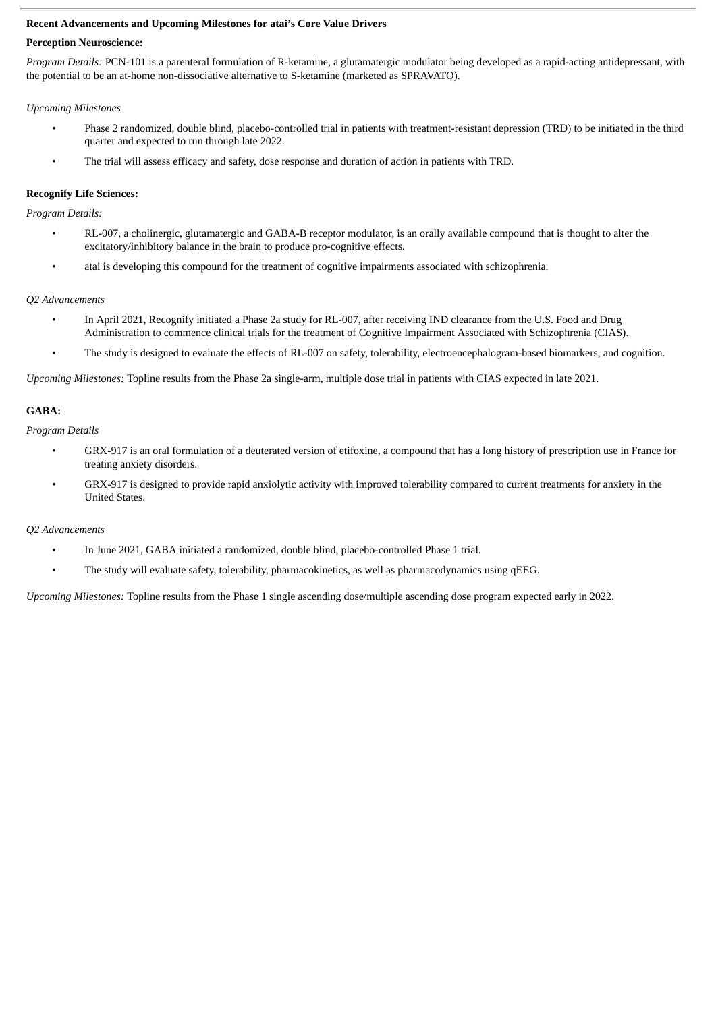## **Recent Advancements and Upcoming Milestones for atai's Core Value Drivers**

#### **Perception Neuroscience:**

*Program Details:* PCN-101 is a parenteral formulation of R-ketamine, a glutamatergic modulator being developed as a rapid-acting antidepressant, with the potential to be an at-home non-dissociative alternative to S-ketamine (marketed as SPRAVATO).

#### *Upcoming Milestones*

- Phase 2 randomized, double blind, placebo-controlled trial in patients with treatment-resistant depression (TRD) to be initiated in the third quarter and expected to run through late 2022.
- The trial will assess efficacy and safety, dose response and duration of action in patients with TRD.

#### **Recognify Life Sciences:**

#### *Program Details:*

- RL-007, a cholinergic, glutamatergic and GABA-B receptor modulator, is an orally available compound that is thought to alter the excitatory/inhibitory balance in the brain to produce pro-cognitive effects.
- atai is developing this compound for the treatment of cognitive impairments associated with schizophrenia.

#### *Q2 Advancements*

- In April 2021, Recognify initiated a Phase 2a study for RL-007, after receiving IND clearance from the U.S. Food and Drug Administration to commence clinical trials for the treatment of Cognitive Impairment Associated with Schizophrenia (CIAS).
- The study is designed to evaluate the effects of RL-007 on safety, tolerability, electroencephalogram-based biomarkers, and cognition.

*Upcoming Milestones:* Topline results from the Phase 2a single-arm, multiple dose trial in patients with CIAS expected in late 2021.

#### **GABA:**

#### *Program Details*

- GRX-917 is an oral formulation of a deuterated version of etifoxine, a compound that has a long history of prescription use in France for treating anxiety disorders.
- GRX-917 is designed to provide rapid anxiolytic activity with improved tolerability compared to current treatments for anxiety in the United States.

#### *Q2 Advancements*

- In June 2021, GABA initiated a randomized, double blind, placebo-controlled Phase 1 trial.
- The study will evaluate safety, tolerability, pharmacokinetics, as well as pharmacodynamics using qEEG.

*Upcoming Milestones:* Topline results from the Phase 1 single ascending dose/multiple ascending dose program expected early in 2022.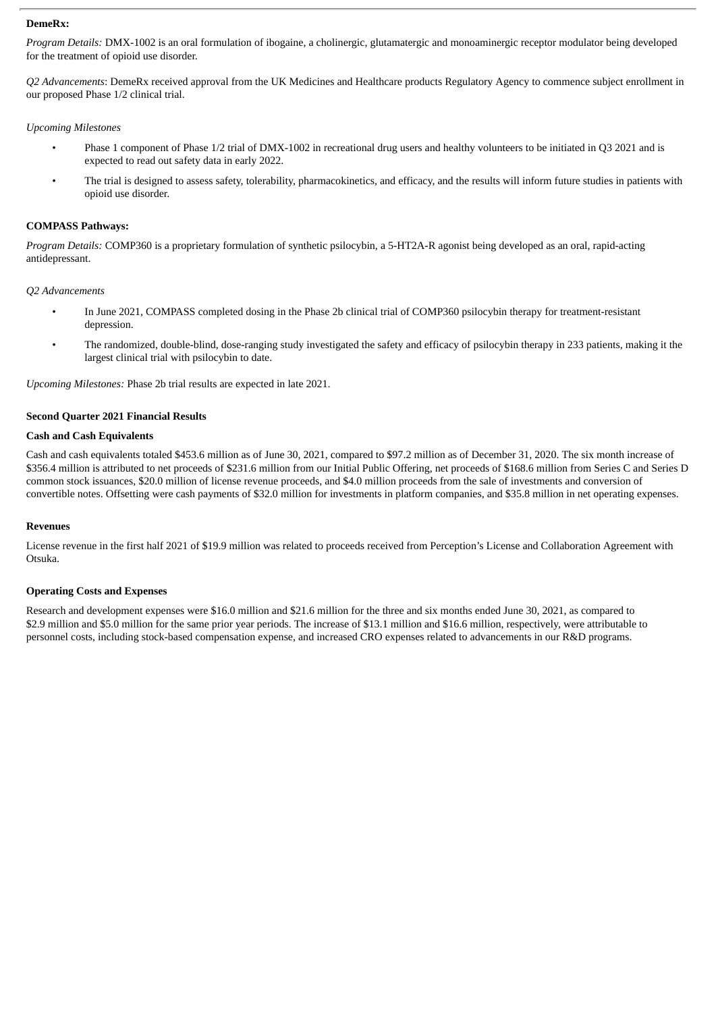#### **DemeRx:**

*Program Details:* DMX-1002 is an oral formulation of ibogaine, a cholinergic, glutamatergic and monoaminergic receptor modulator being developed for the treatment of opioid use disorder.

*Q2 Advancements*: DemeRx received approval from the UK Medicines and Healthcare products Regulatory Agency to commence subject enrollment in our proposed Phase 1/2 clinical trial.

#### *Upcoming Milestones*

- Phase 1 component of Phase 1/2 trial of DMX-1002 in recreational drug users and healthy volunteers to be initiated in Q3 2021 and is expected to read out safety data in early 2022.
- The trial is designed to assess safety, tolerability, pharmacokinetics, and efficacy, and the results will inform future studies in patients with opioid use disorder.

#### **COMPASS Pathways:**

*Program Details:* COMP360 is a proprietary formulation of synthetic psilocybin, a 5-HT2A-R agonist being developed as an oral, rapid-acting antidepressant.

#### *Q2 Advancements*

- In June 2021, COMPASS completed dosing in the Phase 2b clinical trial of COMP360 psilocybin therapy for treatment-resistant depression.
- The randomized, double-blind, dose-ranging study investigated the safety and efficacy of psilocybin therapy in 233 patients, making it the largest clinical trial with psilocybin to date.

*Upcoming Milestones:* Phase 2b trial results are expected in late 2021.

# **Second Quarter 2021 Financial Results**

#### **Cash and Cash Equivalents**

Cash and cash equivalents totaled \$453.6 million as of June 30, 2021, compared to \$97.2 million as of December 31, 2020. The six month increase of \$356.4 million is attributed to net proceeds of \$231.6 million from our Initial Public Offering, net proceeds of \$168.6 million from Series C and Series D common stock issuances, \$20.0 million of license revenue proceeds, and \$4.0 million proceeds from the sale of investments and conversion of convertible notes. Offsetting were cash payments of \$32.0 million for investments in platform companies, and \$35.8 million in net operating expenses.

#### **Revenues**

License revenue in the first half 2021 of \$19.9 million was related to proceeds received from Perception's License and Collaboration Agreement with Otsuka.

#### **Operating Costs and Expenses**

Research and development expenses were \$16.0 million and \$21.6 million for the three and six months ended June 30, 2021, as compared to \$2.9 million and \$5.0 million for the same prior year periods. The increase of \$13.1 million and \$16.6 million, respectively, were attributable to personnel costs, including stock-based compensation expense, and increased CRO expenses related to advancements in our R&D programs.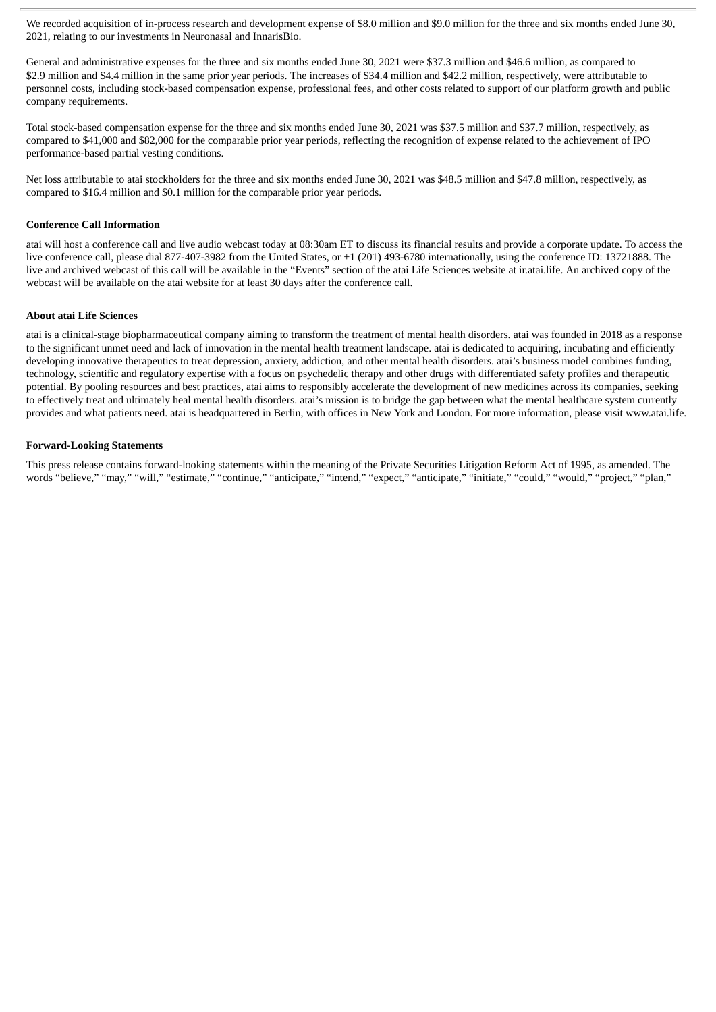We recorded acquisition of in-process research and development expense of \$8.0 million and \$9.0 million for the three and six months ended June 30, 2021, relating to our investments in Neuronasal and InnarisBio.

General and administrative expenses for the three and six months ended June 30, 2021 were \$37.3 million and \$46.6 million, as compared to \$2.9 million and \$4.4 million in the same prior year periods. The increases of \$34.4 million and \$42.2 million, respectively, were attributable to personnel costs, including stock-based compensation expense, professional fees, and other costs related to support of our platform growth and public company requirements.

Total stock-based compensation expense for the three and six months ended June 30, 2021 was \$37.5 million and \$37.7 million, respectively, as compared to \$41,000 and \$82,000 for the comparable prior year periods, reflecting the recognition of expense related to the achievement of IPO performance-based partial vesting conditions.

Net loss attributable to atai stockholders for the three and six months ended June 30, 2021 was \$48.5 million and \$47.8 million, respectively, as compared to \$16.4 million and \$0.1 million for the comparable prior year periods.

#### **Conference Call Information**

atai will host a conference call and live audio webcast today at 08:30am ET to discuss its financial results and provide a corporate update. To access the live conference call, please dial 877-407-3982 from the United States, or +1 (201) 493-6780 internationally, using the conference ID: 13721888. The live and archived webcast of this call will be available in the "Events" section of the atai Life Sciences website at ir.atai.life. An archived copy of the webcast will be available on the atai website for at least 30 days after the conference call.

#### **About atai Life Sciences**

atai is a clinical-stage biopharmaceutical company aiming to transform the treatment of mental health disorders. atai was founded in 2018 as a response to the significant unmet need and lack of innovation in the mental health treatment landscape. atai is dedicated to acquiring, incubating and efficiently developing innovative therapeutics to treat depression, anxiety, addiction, and other mental health disorders. atai's business model combines funding, technology, scientific and regulatory expertise with a focus on psychedelic therapy and other drugs with differentiated safety profiles and therapeutic potential. By pooling resources and best practices, atai aims to responsibly accelerate the development of new medicines across its companies, seeking to effectively treat and ultimately heal mental health disorders. atai's mission is to bridge the gap between what the mental healthcare system currently provides and what patients need. atai is headquartered in Berlin, with offices in New York and London. For more information, please visit www.atai.life.

#### **Forward-Looking Statements**

This press release contains forward-looking statements within the meaning of the Private Securities Litigation Reform Act of 1995, as amended. The words "believe," "may," "will," "estimate," "continue," "anticipate," "intend," "expect," "anticipate," "initiate," "could," "would," "project," "plan,"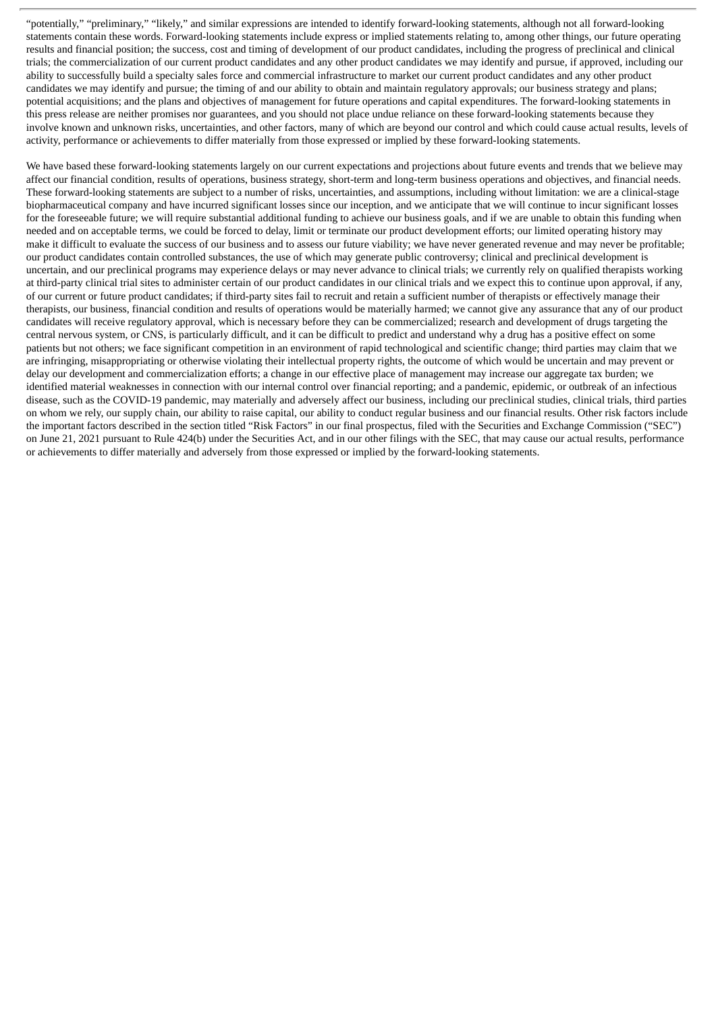"potentially," "preliminary," "likely," and similar expressions are intended to identify forward-looking statements, although not all forward-looking statements contain these words. Forward-looking statements include express or implied statements relating to, among other things, our future operating results and financial position; the success, cost and timing of development of our product candidates, including the progress of preclinical and clinical trials; the commercialization of our current product candidates and any other product candidates we may identify and pursue, if approved, including our ability to successfully build a specialty sales force and commercial infrastructure to market our current product candidates and any other product candidates we may identify and pursue; the timing of and our ability to obtain and maintain regulatory approvals; our business strategy and plans; potential acquisitions; and the plans and objectives of management for future operations and capital expenditures. The forward-looking statements in this press release are neither promises nor guarantees, and you should not place undue reliance on these forward-looking statements because they involve known and unknown risks, uncertainties, and other factors, many of which are beyond our control and which could cause actual results, levels of activity, performance or achievements to differ materially from those expressed or implied by these forward-looking statements.

We have based these forward-looking statements largely on our current expectations and projections about future events and trends that we believe may affect our financial condition, results of operations, business strategy, short-term and long-term business operations and objectives, and financial needs. These forward-looking statements are subject to a number of risks, uncertainties, and assumptions, including without limitation: we are a clinical-stage biopharmaceutical company and have incurred significant losses since our inception, and we anticipate that we will continue to incur significant losses for the foreseeable future; we will require substantial additional funding to achieve our business goals, and if we are unable to obtain this funding when needed and on acceptable terms, we could be forced to delay, limit or terminate our product development efforts; our limited operating history may make it difficult to evaluate the success of our business and to assess our future viability; we have never generated revenue and may never be profitable; our product candidates contain controlled substances, the use of which may generate public controversy; clinical and preclinical development is uncertain, and our preclinical programs may experience delays or may never advance to clinical trials; we currently rely on qualified therapists working at third-party clinical trial sites to administer certain of our product candidates in our clinical trials and we expect this to continue upon approval, if any, of our current or future product candidates; if third-party sites fail to recruit and retain a sufficient number of therapists or effectively manage their therapists, our business, financial condition and results of operations would be materially harmed; we cannot give any assurance that any of our product candidates will receive regulatory approval, which is necessary before they can be commercialized; research and development of drugs targeting the central nervous system, or CNS, is particularly difficult, and it can be difficult to predict and understand why a drug has a positive effect on some patients but not others; we face significant competition in an environment of rapid technological and scientific change; third parties may claim that we are infringing, misappropriating or otherwise violating their intellectual property rights, the outcome of which would be uncertain and may prevent or delay our development and commercialization efforts; a change in our effective place of management may increase our aggregate tax burden; we identified material weaknesses in connection with our internal control over financial reporting; and a pandemic, epidemic, or outbreak of an infectious disease, such as the COVID-19 pandemic, may materially and adversely affect our business, including our preclinical studies, clinical trials, third parties on whom we rely, our supply chain, our ability to raise capital, our ability to conduct regular business and our financial results. Other risk factors include the important factors described in the section titled "Risk Factors" in our final prospectus, filed with the Securities and Exchange Commission ("SEC") on June 21, 2021 pursuant to Rule 424(b) under the Securities Act, and in our other filings with the SEC, that may cause our actual results, performance or achievements to differ materially and adversely from those expressed or implied by the forward-looking statements.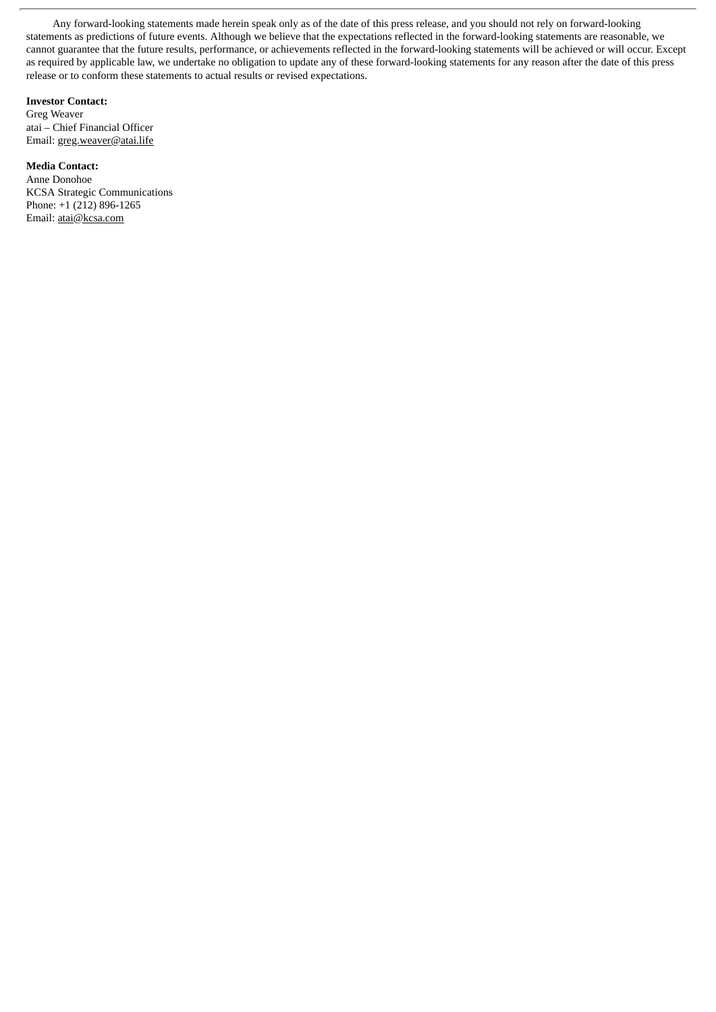Any forward-looking statements made herein speak only as of the date of this press release, and you should not rely on forward-looking statements as predictions of future events. Although we believe that the expectations reflected in the forward-looking statements are reasonable, we cannot guarantee that the future results, performance, or achievements reflected in the forward-looking statements will be achieved or will occur. Except as required by applicable law, we undertake no obligation to update any of these forward-looking statements for any reason after the date of this press release or to conform these statements to actual results or revised expectations.

**Investor Contact:** Greg Weaver atai – Chief Financial Officer Email: greg.weaver@atai.life

**Media Contact:** Anne Donohoe KCSA Strategic Communications Phone: +1 (212) 896-1265 Email: atai@kcsa.com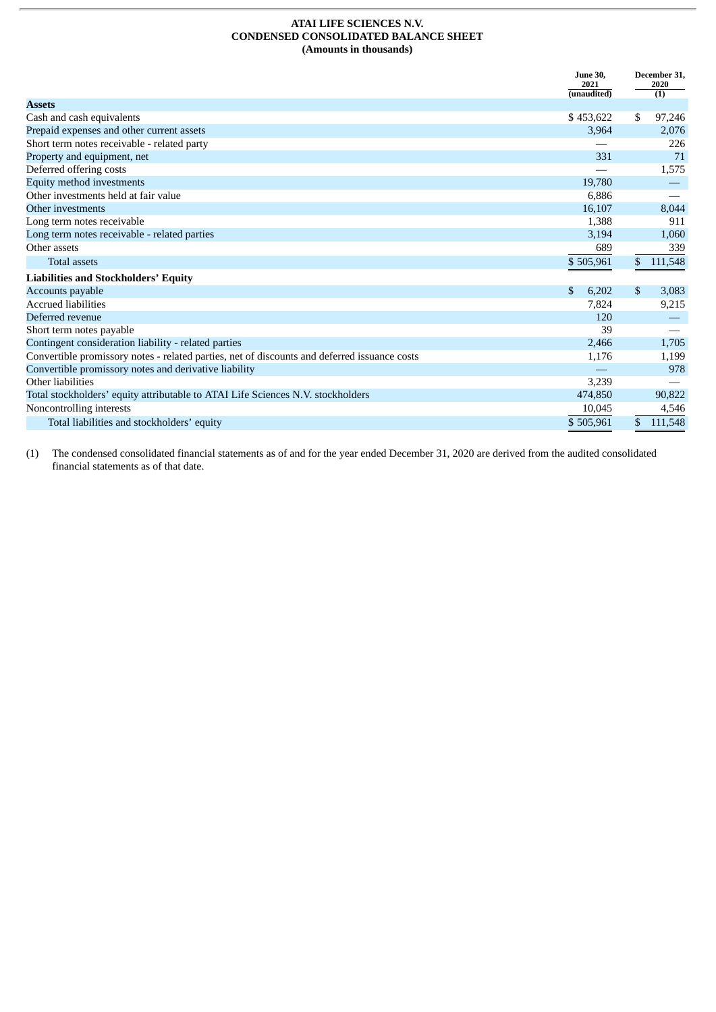# **ATAI LIFE SCIENCES N.V. CONDENSED CONSOLIDATED BALANCE SHEET (Amounts in thousands)**

|                                                                                              | <b>June 30.</b><br>2021 | December 31.<br>2020 |           |
|----------------------------------------------------------------------------------------------|-------------------------|----------------------|-----------|
| <b>Assets</b>                                                                                | (unaudited)             |                      | (1)       |
| Cash and cash equivalents                                                                    | \$453,622               | \$                   | 97,246    |
|                                                                                              | 3,964                   |                      | 2,076     |
| Prepaid expenses and other current assets                                                    |                         |                      |           |
| Short term notes receivable - related party                                                  | 331                     |                      | 226<br>71 |
| Property and equipment, net                                                                  |                         |                      |           |
| Deferred offering costs                                                                      |                         |                      | 1,575     |
| Equity method investments<br>Other investments held at fair value                            | 19,780                  |                      |           |
|                                                                                              | 6,886                   |                      |           |
| Other investments                                                                            | 16,107                  |                      | 8,044     |
| Long term notes receivable                                                                   | 1,388                   |                      | 911       |
| Long term notes receivable - related parties                                                 | 3.194                   |                      | 1,060     |
| Other assets                                                                                 | 689                     |                      | 339       |
| <b>Total assets</b>                                                                          | \$505,961               | $\mathbb{S}$         | 111,548   |
| <b>Liabilities and Stockholders' Equity</b>                                                  |                         |                      |           |
| Accounts payable                                                                             | \$<br>6,202             | \$                   | 3,083     |
| <b>Accrued liabilities</b>                                                                   | 7.824                   |                      | 9,215     |
| Deferred revenue                                                                             | 120                     |                      |           |
| Short term notes payable                                                                     | 39                      |                      |           |
| Contingent consideration liability - related parties                                         | 2,466                   |                      | 1,705     |
| Convertible promissory notes - related parties, net of discounts and deferred issuance costs | 1,176                   |                      | 1,199     |
| Convertible promissory notes and derivative liability                                        |                         |                      | 978       |
| Other liabilities                                                                            | 3,239                   |                      |           |
| Total stockholders' equity attributable to ATAI Life Sciences N.V. stockholders              | 474,850                 |                      | 90,822    |
| Noncontrolling interests                                                                     | 10,045                  |                      | 4,546     |
| Total liabilities and stockholders' equity                                                   | \$505,961               | \$                   | 111,548   |

(1) The condensed consolidated financial statements as of and for the year ended December 31, 2020 are derived from the audited consolidated financial statements as of that date.